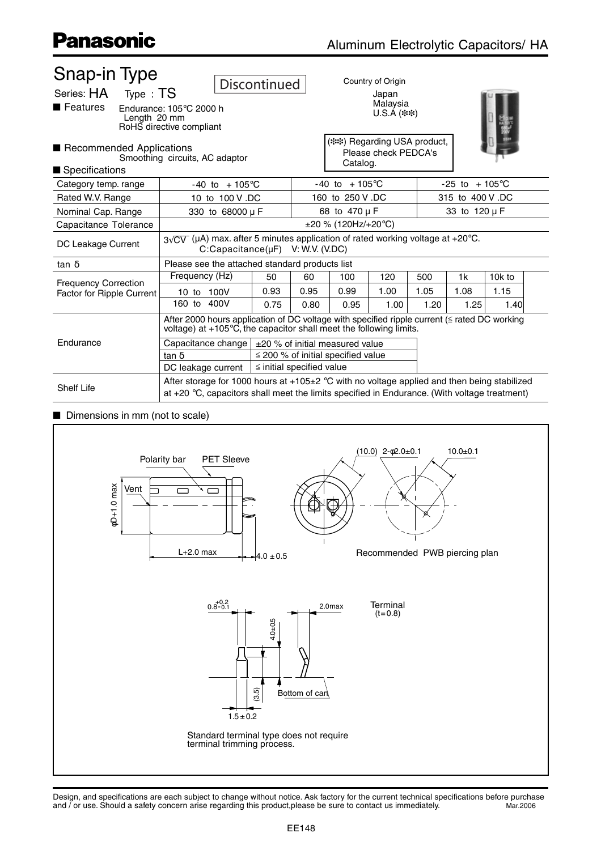| Snap-in Type<br>Series: HA Type: TS<br>$\blacksquare$ Features<br>Length 20 mm                                                                    | Endurance: $105^{\circ}$ C 2000 h<br>RoHS directive compliant                                                                                                                                                                                                                                                                                                                                                                                                                                | Discontinued                          |      | Country of Origin<br>Japan<br>Malaysia<br>$U.S.A$ (**) |      |      |                           |        |  |
|---------------------------------------------------------------------------------------------------------------------------------------------------|----------------------------------------------------------------------------------------------------------------------------------------------------------------------------------------------------------------------------------------------------------------------------------------------------------------------------------------------------------------------------------------------------------------------------------------------------------------------------------------------|---------------------------------------|------|--------------------------------------------------------|------|------|---------------------------|--------|--|
| (**) Regarding USA product,<br>Recommended Applications<br>Please check PEDCA's<br>Smoothing circuits, AC adaptor<br>Catalog.<br>■ Specifications |                                                                                                                                                                                                                                                                                                                                                                                                                                                                                              |                                       |      |                                                        |      |      |                           |        |  |
| Category temp. range                                                                                                                              | $-40$ to $+105^{\circ}$ C                                                                                                                                                                                                                                                                                                                                                                                                                                                                    |                                       |      | $-40$ to $+105^{\circ}$ C                              |      |      | $-25$ to $+105^{\circ}$ C |        |  |
| Rated W.V. Range                                                                                                                                  | 10 to 100 V.DC                                                                                                                                                                                                                                                                                                                                                                                                                                                                               |                                       |      | 160 to 250 V.DC                                        |      |      | 315 to 400 V.DC           |        |  |
| Nominal Cap. Range                                                                                                                                |                                                                                                                                                                                                                                                                                                                                                                                                                                                                                              | 330 to 68000 µ F                      |      | 68 to 470 µ F                                          |      |      | 33 to 120 µ F             |        |  |
| Capacitance Tolerance                                                                                                                             |                                                                                                                                                                                                                                                                                                                                                                                                                                                                                              | $\pm 20$ % (120Hz/+20°C)              |      |                                                        |      |      |                           |        |  |
| DC Leakage Current                                                                                                                                |                                                                                                                                                                                                                                                                                                                                                                                                                                                                                              | $C:Capacitance(\mu F)$ V: W.V. (V.DC) |      |                                                        |      |      |                           |        |  |
| tan $\delta$                                                                                                                                      |                                                                                                                                                                                                                                                                                                                                                                                                                                                                                              |                                       |      |                                                        |      |      |                           |        |  |
|                                                                                                                                                   | Frequency (Hz)                                                                                                                                                                                                                                                                                                                                                                                                                                                                               | 50                                    | 60   | 100                                                    | 120  | 500  | 1k                        | 10k to |  |
|                                                                                                                                                   | 10 to 100V                                                                                                                                                                                                                                                                                                                                                                                                                                                                                   | 0.93                                  | 0.95 | 0.99                                                   | 1.00 | 1.05 | 1.08                      | 1.15   |  |
|                                                                                                                                                   | 160 to 400V                                                                                                                                                                                                                                                                                                                                                                                                                                                                                  | 0.75                                  | 0.80 | 0.95                                                   | 1.00 | 1.20 | 1.25                      | 1.40   |  |
|                                                                                                                                                   | After 2000 hours application of DC voltage with specified ripple current (≦ rated DC working<br>voltage) at +105°C, the capacitor shall meet the following limits.                                                                                                                                                                                                                                                                                                                           |                                       |      |                                                        |      |      |                           |        |  |
| Endurance                                                                                                                                         |                                                                                                                                                                                                                                                                                                                                                                                                                                                                                              |                                       |      |                                                        |      |      |                           |        |  |
|                                                                                                                                                   | tan $\delta$                                                                                                                                                                                                                                                                                                                                                                                                                                                                                 |                                       |      |                                                        |      |      |                           |        |  |
|                                                                                                                                                   | DC leakage current                                                                                                                                                                                                                                                                                                                                                                                                                                                                           |                                       |      |                                                        |      |      |                           |        |  |
| <b>Shelf Life</b>                                                                                                                                 |                                                                                                                                                                                                                                                                                                                                                                                                                                                                                              |                                       |      |                                                        |      |      |                           |        |  |
| <b>Frequency Correction</b><br><b>Factor for Ripple Current</b>                                                                                   | $3\sqrt{CV}$ (µA) max. after 5 minutes application of rated working voltage at +20°C.<br>Please see the attached standard products list<br>Capacitance change $\pm 20$ % of initial measured value<br>$\leq$ 200 % of initial specified value<br>$\le$ initial specified value<br>After storage for 1000 hours at +105 $\pm$ 2 °C with no voltage applied and then being stabilized<br>at +20 $\degree$ C, capacitors shall meet the limits specified in Endurance. (With voltage treatment) |                                       |      |                                                        |      |      |                           |        |  |

#### $\blacksquare$  Dimensions in mm (not to scale)

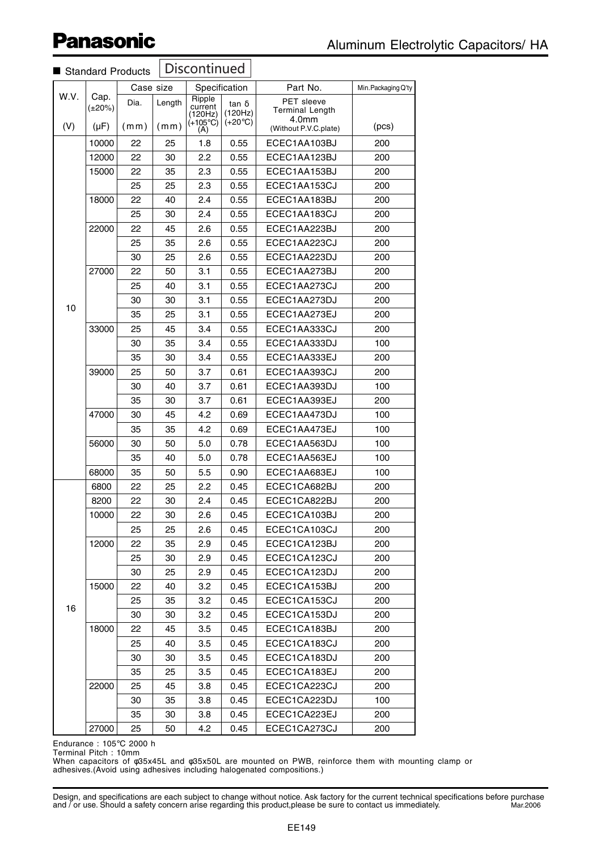|      |                      | Standard Products |        | Discontinued                                      |                                             |                                               |                     |
|------|----------------------|-------------------|--------|---------------------------------------------------|---------------------------------------------|-----------------------------------------------|---------------------|
| W.V. |                      | Case size         |        |                                                   | Specification                               | Part No.                                      | Min. Packaging Q'ty |
|      | Cap.<br>$(\pm 20\%)$ | Dia.              | Length | Ripple<br>current<br>(120Hz)<br>$(+105^{\circ}C)$ | $tan \delta$<br>(120Hz)<br>$(+20^{\circ}C)$ | PET sleeve<br><b>Terminal Length</b><br>4.0mm |                     |
| (V)  | $(\mu F)$            | (mm)              | (mm)   | (A)                                               |                                             | (Without P.V.C.plate)                         | (pcs)               |
|      | 10000                | 22                | 25     | 1.8                                               | 0.55                                        | ECEC1AA103BJ                                  | 200                 |
|      | 12000                | 22                | 30     | 2.2                                               | 0.55                                        | ECEC1AA123BJ                                  | 200                 |
|      | 15000                | 22                | 35     | 2.3                                               | 0.55                                        | ECEC1AA153BJ                                  | 200                 |
|      |                      | 25                | 25     | 2.3                                               | 0.55                                        | ECEC1AA153CJ                                  | 200                 |
|      | 18000                | 22                | 40     | 2.4                                               | 0.55                                        | ECEC1AA183BJ                                  | 200                 |
|      |                      | 25                | 30     | 2.4                                               | 0.55                                        | ECEC1AA183CJ                                  | 200                 |
|      | 22000                | 22                | 45     | 2.6                                               | 0.55                                        | ECEC1AA223BJ                                  | 200                 |
|      |                      | 25                | 35     | 2.6                                               | 0.55                                        | ECEC1AA223CJ                                  | 200                 |
|      |                      | 30                | 25     | 2.6                                               | 0.55                                        | ECEC1AA223DJ                                  | 200                 |
|      | 27000                | 22                | 50     | 3.1                                               | 0.55                                        | ECEC1AA273BJ                                  | 200                 |
|      |                      | 25                | 40     | 3.1                                               | 0.55                                        | ECEC1AA273CJ                                  | 200                 |
| 10   |                      | 30                | 30     | 3.1                                               | 0.55                                        | ECEC1AA273DJ                                  | 200                 |
|      |                      | 35                | 25     | 3.1                                               | 0.55                                        | ECEC1AA273EJ                                  | 200                 |
|      | 33000                | 25                | 45     | 3.4                                               | 0.55                                        | ECEC1AA333CJ                                  | 200                 |
|      |                      | 30                | 35     | 3.4                                               | 0.55                                        | ECEC1AA333DJ                                  | 100                 |
|      |                      | 35                | 30     | 3.4                                               | 0.55                                        | ECEC1AA333EJ                                  | 200                 |
|      | 39000                | 25                | 50     | 3.7                                               | 0.61                                        | ECEC1AA393CJ                                  | 200                 |
|      |                      | 30                | 40     | 3.7                                               | 0.61                                        | ECEC1AA393DJ                                  | 100                 |
|      |                      | 35                | 30     | 3.7                                               | 0.61                                        | ECEC1AA393EJ                                  | 200                 |
|      | 47000                | 30                | 45     | 4.2                                               | 0.69                                        | ECEC1AA473DJ                                  | 100                 |
|      |                      | 35                | 35     | 4.2                                               | 0.69                                        | ECEC1AA473EJ                                  | 100                 |
|      | 56000                | 30                | 50     | 5.0                                               | 0.78                                        | ECEC1AA563DJ                                  | 100                 |
|      |                      | 35                | 40     | 5.0                                               | 0.78                                        | ECEC1AA563EJ                                  | 100                 |
|      | 68000                | 35                | 50     | 5.5                                               | 0.90                                        | ECEC1AA683EJ                                  | 100                 |
|      | 6800                 | 22                | 25     | 2.2                                               | 0.45                                        | ECEC1CA682BJ                                  | 200                 |
|      | 8200                 | 22                | 30     | 2.4                                               | 0.45                                        | ECEC1CA822BJ                                  | 200                 |
|      | 10000                | 22                | 30     | 2.6                                               | 0.45                                        | ECEC1CA103BJ                                  | 200                 |
|      |                      | 25                | 25     | 2.6                                               | 0.45                                        | ECEC1CA103CJ                                  | 200                 |
|      | 12000                | 22                | 35     | 2.9                                               | 0.45                                        | ECEC1CA123BJ                                  | 200                 |
|      |                      | 25                | 30     | 2.9                                               | 0.45                                        | ECEC1CA123CJ                                  | 200                 |
|      |                      | 30                | 25     | 2.9                                               | 0.45                                        | ECEC1CA123DJ                                  | 200                 |
|      | 15000                |                   |        |                                                   |                                             |                                               |                     |
|      |                      | 22                | 40     | 3.2                                               | 0.45                                        | ECEC1CA153BJ                                  | 200                 |
| 16   |                      | 25                | 35     | 3.2                                               | 0.45                                        | ECEC1CA153CJ                                  | 200                 |
|      |                      | 30                | 30     | 3.2                                               | 0.45                                        | ECEC1CA153DJ                                  | 200                 |
|      | 18000                | 22                | 45     | $3.5\,$                                           | 0.45                                        | ECEC1CA183BJ                                  | 200                 |
|      |                      | 25                | 40     | $3.5\,$                                           | 0.45                                        | ECEC1CA183CJ                                  | 200                 |
|      |                      | 30                | 30     | 3.5                                               | 0.45                                        | ECEC1CA183DJ                                  | 200                 |
|      |                      | 35                | 25     | 3.5                                               | 0.45                                        | ECEC1CA183EJ                                  | 200                 |
|      | 22000                | 25                | 45     | 3.8                                               | 0.45                                        | ECEC1CA223CJ                                  | 200                 |
|      |                      | 30                | 35     | 3.8                                               | 0.45                                        | ECEC1CA223DJ                                  | 100                 |
|      |                      | 35                | 30     | 3.8                                               | 0.45                                        | ECEC1CA223EJ                                  | 200                 |
|      | 27000                | 25                | 50     | 4.2                                               | 0.45                                        | ECEC1CA273CJ                                  | 200                 |

Endurance : 105°C 2000 h

Terminal Pitch : 10mm

When capacitors of φ35x45L and φ35x50L are mounted on PWB, reinforce them with mounting clamp or adhesives.(Avoid using adhesives including halogenated compositions.)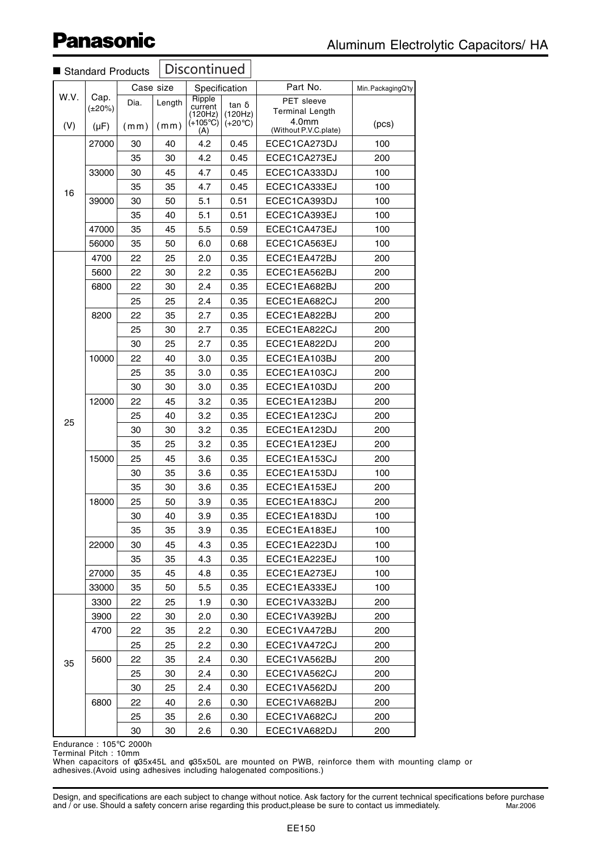|      | Standard Products    |           |        | Discontinued                 |                          |                                                      |                    |
|------|----------------------|-----------|--------|------------------------------|--------------------------|------------------------------------------------------|--------------------|
|      |                      | Case size |        |                              | Specification            | Part No.                                             | Min. PackagingQ'ty |
| W.V. | Cap.<br>$(\pm 20\%)$ | Dia.      | Length | Ripple<br>current<br>(120Hz) | $\tan \delta$<br>(120Hz) | <b>PET</b> sleeve<br><b>Terminal Length</b><br>4.0mm |                    |
| (V)  | $(\mu F)$            | (mm)      | (mm)   | $(+105^{\circ}C)$<br>(A)     | $(+20^{\circ}C)$         | (Without P.V.C.plate)                                | (pcs)              |
|      | 27000                | 30        | 40     | 4.2                          | 0.45                     | ECEC1CA273DJ                                         | 100                |
|      |                      | 35        | 30     | 4.2                          | 0.45                     | ECEC1CA273EJ                                         | 200                |
|      | 33000                | 30        | 45     | 4.7                          | 0.45                     | ECEC1CA333DJ                                         | 100                |
| 16   |                      | 35        | 35     | 4.7                          | 0.45                     | ECEC1CA333EJ                                         | 100                |
|      | 39000                | 30        | 50     | 5.1                          | 0.51                     | ECEC1CA393DJ                                         | 100                |
|      |                      | 35        | 40     | 5.1                          | 0.51                     | ECEC1CA393EJ                                         | 100                |
|      | 47000                | 35        | 45     | 5.5                          | 0.59                     | ECEC1CA473EJ                                         | 100                |
|      | 56000                | 35        | 50     | 6.0                          | 0.68                     | ECEC1CA563EJ                                         | 100                |
|      | 4700                 | 22        | 25     | 2.0                          | 0.35                     | ECEC1EA472BJ                                         | 200                |
|      | 5600                 | 22        | 30     | 2.2                          | 0.35                     | ECEC1EA562BJ                                         | 200                |
|      | 6800                 | 22        | 30     | 2.4                          | 0.35                     | ECEC1EA682BJ                                         | 200                |
|      |                      | 25        | 25     | 2.4                          | 0.35                     | ECEC1EA682CJ                                         | 200                |
|      | 8200                 | 22        | 35     | 2.7                          | 0.35                     | ECEC1EA822BJ                                         | 200                |
|      |                      | 25        | 30     | 2.7                          | 0.35                     | ECEC1EA822CJ                                         | 200                |
|      |                      | 30        | 25     | 2.7                          | 0.35                     | ECEC1EA822DJ                                         | 200                |
|      | 10000                | 22        | 40     | 3.0                          | 0.35                     | ECEC1EA103BJ                                         | 200                |
|      |                      | 25        | 35     | 3.0                          | 0.35                     | ECEC1EA103CJ                                         | 200                |
|      |                      | 30        | 30     | 3.0                          | 0.35                     | ECEC1EA103DJ                                         | 200                |
|      | 12000                | 22        | 45     | 3.2                          | 0.35                     | ECEC1EA123BJ                                         | 200                |
|      |                      | 25        | 40     | 3.2                          | 0.35                     | ECEC1EA123CJ                                         | 200                |
| 25   |                      | 30        | 30     | 3.2                          | 0.35                     | ECEC1EA123DJ                                         | 200                |
|      |                      | 35        | 25     | 3.2                          | 0.35                     | ECEC1EA123EJ                                         | 200                |
|      | 15000                | 25        | 45     | 3.6                          | 0.35                     | ECEC1EA153CJ                                         | 200                |
|      |                      | 30        | 35     | 3.6                          | 0.35                     | ECEC1EA153DJ                                         | 100                |
|      |                      | 35        | 30     | 3.6                          | 0.35                     | ECEC1EA153EJ                                         | 200                |
|      | 18000                | 25        | 50     | 3.9                          | 0.35                     | ECEC1EA183CJ                                         | 200                |
|      |                      | 30        | 40     | 3.9                          | 0.35                     | ECEC1EA183DJ                                         | 100                |
|      |                      | 35        | 35     | 3.9                          | 0.35                     | ECEC1EA183EJ                                         | 100                |
|      | 22000                | 30        | 45     | 4.3                          | 0.35                     | ECEC1EA223DJ                                         | 100                |
|      |                      | 35        | 35     | 4.3                          | 0.35                     | ECEC1EA223EJ                                         | 100                |
|      | 27000                | 35        | 45     | 4.8                          | 0.35                     | ECEC1EA273EJ                                         | 100                |
|      | 33000                | 35        | 50     | 5.5                          | 0.35                     | ECEC1EA333EJ                                         | 100                |
|      | 3300                 | 22        | 25     | 1.9                          | 0.30                     | ECEC1VA332BJ                                         | 200                |
|      | 3900                 | 22        | 30     | 2.0                          | 0.30                     | ECEC1VA392BJ                                         | 200                |
|      | 4700                 | 22        | 35     | 2.2                          | 0.30                     | ECEC1VA472BJ                                         | 200                |
|      |                      | 25        | 25     | 2.2                          | 0.30                     | ECEC1VA472CJ                                         | 200                |
|      | 5600                 | 22        | 35     | 2.4                          | 0.30                     | ECEC1VA562BJ                                         | 200                |
| 35   |                      | 25        | 30     | 2.4                          | 0.30                     | ECEC1VA562CJ                                         | 200                |
|      |                      | 30        | 25     | 2.4                          | 0.30                     | ECEC1VA562DJ                                         | 200                |
|      | 6800                 | 22        | 40     | 2.6                          | 0.30                     | ECEC1VA682BJ                                         | 200                |
|      |                      | 25        | 35     | 2.6                          | 0.30                     | ECEC1VA682CJ                                         | 200                |
|      |                      | 30        |        |                              |                          |                                                      |                    |
|      |                      |           | 30     | 2.6                          | 0.30                     | ECEC1VA682DJ                                         | 200                |

#### Endurance : 105°C 2000h

Terminal Pitch : 10mm

When capacitors of φ35x45L and φ35x50L are mounted on PWB, reinforce them with mounting clamp or adhesives.(Avoid using adhesives including halogenated compositions.)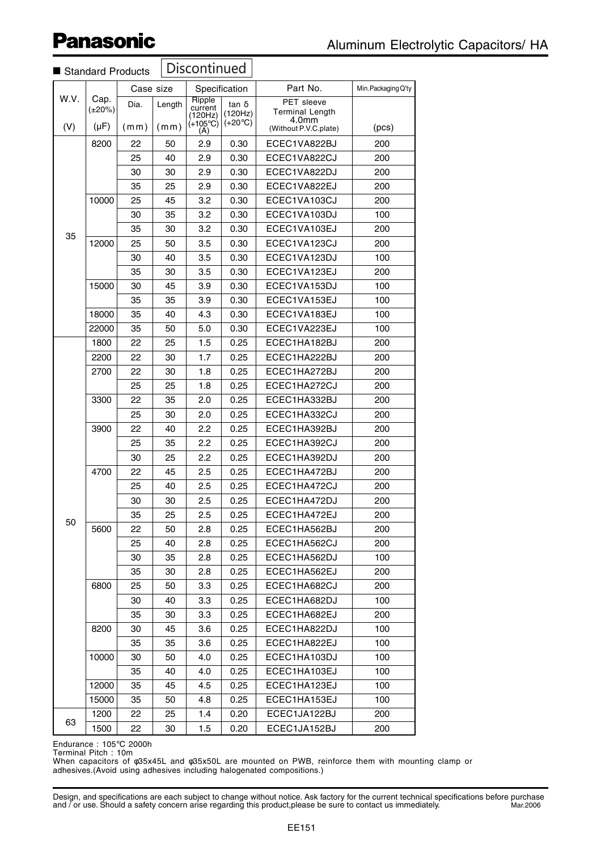| <b>Discontinued</b><br>Standard Products |                      |           |        |                                                   |                                      |                                                           |                     |
|------------------------------------------|----------------------|-----------|--------|---------------------------------------------------|--------------------------------------|-----------------------------------------------------------|---------------------|
|                                          |                      | Case size |        | Specification                                     |                                      | Part No.                                                  | Min. Packaging Q'ty |
| W.V.                                     | Cap.<br>$(\pm 20\%)$ | Dia.      | Length | Ripple<br>current<br>(120Hz)<br>$(+105^{\circ}C)$ | tan δ<br>(120Hz)<br>$(+20^{\circ}C)$ | PET sleeve<br><b>Terminal Length</b><br>4.0 <sub>mm</sub> |                     |
| (V)                                      | (µF)                 | (mm)      | (mm)   | (A)                                               |                                      | (Without P.V.C.plate)                                     | (pcs)               |
|                                          | 8200                 | 22        | 50     | 2.9                                               | 0.30                                 | ECEC1VA822BJ                                              | 200                 |
|                                          |                      | 25        | 40     | 2.9                                               | 0.30                                 | ECEC1VA822CJ                                              | 200                 |
|                                          |                      | 30        | 30     | 2.9                                               | 0.30                                 | ECEC1VA822DJ                                              | 200                 |
|                                          |                      | 35        | 25     | 2.9                                               | 0.30                                 | ECEC1VA822EJ                                              | 200                 |
|                                          | 10000                | 25        | 45     | 3.2                                               | 0.30                                 | ECEC1VA103CJ                                              | 200                 |
|                                          |                      | 30        | 35     | 3.2                                               | 0.30                                 | ECEC1VA103DJ                                              | 100                 |
| 35                                       |                      | 35        | 30     | 3.2                                               | 0.30                                 | ECEC1VA103EJ                                              | 200                 |
|                                          | 12000                | 25        | 50     | 3.5                                               | 0.30                                 | ECEC1VA123CJ                                              | 200                 |
|                                          |                      | 30        | 40     | 3.5                                               | 0.30                                 | ECEC1VA123DJ                                              | 100                 |
|                                          |                      | 35        | 30     | 3.5                                               | 0.30                                 | ECEC1VA123EJ                                              | 200                 |
|                                          | 15000                | 30        | 45     | 3.9                                               | 0.30                                 | ECEC1VA153DJ                                              | 100                 |
|                                          |                      | 35        | 35     | 3.9                                               | 0.30                                 | ECEC1VA153EJ                                              | 100                 |
|                                          | 18000                | 35        | 40     | 4.3                                               | 0.30                                 | ECEC1VA183EJ                                              | 100                 |
|                                          | 22000                | 35        | 50     | 5.0                                               | 0.30                                 | ECEC1VA223EJ                                              | 100                 |
|                                          | 1800                 | 22        | 25     | 1.5                                               | 0.25                                 | ECEC1HA182BJ                                              | 200                 |
|                                          | 2200                 | 22        | 30     | 1.7                                               | 0.25                                 | ECEC1HA222BJ                                              | 200                 |
|                                          | 2700                 | 22        | 30     | 1.8                                               | 0.25                                 | ECEC1HA272BJ                                              | 200                 |
|                                          |                      | 25        | 25     | 1.8                                               | 0.25                                 | ECEC1HA272CJ                                              | 200                 |
|                                          | 3300                 | 22        | 35     | 2.0                                               | 0.25                                 | ECEC1HA332BJ                                              | 200                 |
|                                          |                      | 25        | 30     | 2.0                                               | 0.25                                 | ECEC1HA332CJ                                              | 200                 |
|                                          | 3900                 | 22        | 40     | 2.2                                               | 0.25                                 | ECEC1HA392BJ                                              | 200                 |
|                                          |                      | 25        | 35     | 2.2                                               | 0.25                                 | ECEC1HA392CJ                                              | 200                 |
|                                          |                      | 30        | 25     | 2.2                                               | 0.25                                 | ECEC1HA392DJ                                              | 200                 |
|                                          | 4700                 | 22        | 45     | 2.5                                               | 0.25                                 | ECEC1HA472BJ                                              | 200                 |
|                                          |                      | 25        | 40     | 2.5                                               | 0.25                                 | ECEC1HA472CJ                                              | 200                 |
|                                          |                      | 30        | 30     | 2.5                                               | 0.25                                 | ECEC1HA472DJ                                              | 200                 |
|                                          |                      | 35        | 25     | 2.5                                               | 0.25                                 | ECEC1HA472EJ                                              | 200                 |
| 50                                       | 5600                 | 22        | 50     | 2.8                                               | 0.25                                 | ECEC1HA562BJ                                              | 200                 |
|                                          |                      | 25        | 40     | 2.8                                               | 0.25                                 | ECEC1HA562CJ                                              | 200                 |
|                                          |                      | 30        | 35     | 2.8                                               | 0.25                                 | ECEC1HA562DJ                                              | 100                 |
|                                          |                      | 35        | 30     | 2.8                                               | 0.25                                 | ECEC1HA562EJ                                              | 200                 |
|                                          | 6800                 | 25        | 50     | 3.3                                               | 0.25                                 | ECEC1HA682CJ                                              | 200                 |
|                                          |                      | 30        | 40     | 3.3                                               | 0.25                                 | ECEC1HA682DJ                                              | 100                 |
|                                          |                      | 35        | 30     | 3.3                                               | 0.25                                 | ECEC1HA682EJ                                              | 200                 |
|                                          | 8200                 | 30        | 45     | 3.6                                               | 0.25                                 | ECEC1HA822DJ                                              | 100                 |
|                                          |                      | 35        | 35     | 3.6                                               | 0.25                                 | ECEC1HA822EJ                                              | 100                 |
|                                          | 10000                | 30        | 50     | 4.0                                               | 0.25                                 | ECEC1HA103DJ                                              | 100                 |
|                                          |                      | 35        | 40     | 4.0                                               | 0.25                                 | ECEC1HA103EJ                                              | 100                 |
|                                          | 12000                | 35        | 45     | 4.5                                               | 0.25                                 | ECEC1HA123EJ                                              | 100                 |
|                                          | 15000                | 35        | 50     | 4.8                                               | 0.25                                 | ECEC1HA153EJ                                              | 100                 |
|                                          | 1200                 | 22        | 25     | 1.4                                               | 0.20                                 | ECEC1JA122BJ                                              | 200                 |
| 63                                       | 1500                 | 22        | 30     | 1.5                                               | 0.20                                 | ECEC1JA152BJ                                              | 200                 |

Endurance : 105°C 2000h

Terminal Pitch : 10m

When capacitors of φ35x45L and φ35x50L are mounted on PWB, reinforce them with mounting clamp or adhesives.(Avoid using adhesives including halogenated compositions.)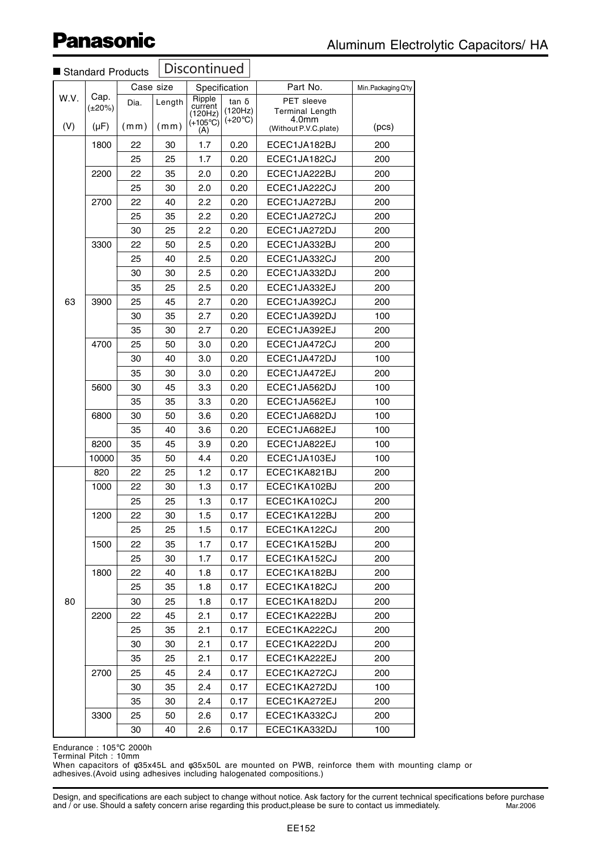|             | Standard Products            |              |                | Discontinued                                      |                                             |                                                                        |                     |
|-------------|------------------------------|--------------|----------------|---------------------------------------------------|---------------------------------------------|------------------------------------------------------------------------|---------------------|
|             |                              | Case size    |                |                                                   | Specification                               | Part No.                                                               | Min. Packaging Q'ty |
| W.V.<br>(V) | Cap.<br>$(\pm 20\%)$<br>(µF) | Dia.<br>(mm) | Length<br>(mm) | Ripple<br>current<br>(120Hz)<br>$(+105^{\circ}C)$ | tan $\delta$<br>(120Hz)<br>$(+20^{\circ}C)$ | PET sleeve<br><b>Terminal Length</b><br>4.0mm<br>(Without P.V.C.plate) | (pcs)               |
|             |                              |              |                | (A)                                               |                                             |                                                                        |                     |
|             | 1800                         | 22           | 30             | 1.7                                               | 0.20                                        | ECEC1JA182BJ                                                           | 200                 |
|             |                              | 25           | 25             | 1.7                                               | 0.20                                        | ECEC1JA182CJ                                                           | 200                 |
|             | 2200                         | 22           | 35             | 2.0                                               | 0.20                                        | ECEC1JA222BJ                                                           | 200                 |
|             | 2700                         | 25<br>22     | 30<br>40       | 2.0<br>2.2                                        | 0.20<br>0.20                                | ECEC1JA222CJ<br>ECEC1JA272BJ                                           | 200<br>200          |
|             |                              | 25           | 35             | 2.2                                               | 0.20                                        | ECEC1JA272CJ                                                           | 200                 |
|             |                              | 30           | 25             | 2.2                                               | 0.20                                        | ECEC1JA272DJ                                                           | 200                 |
|             | 3300                         | 22           | 50             | 2.5                                               | 0.20                                        | ECEC1JA332BJ                                                           | 200                 |
|             |                              | 25           | 40             | 2.5                                               | 0.20                                        | ECEC1JA332CJ                                                           | 200                 |
|             |                              | 30           | 30             | 2.5                                               | 0.20                                        | ECEC1JA332DJ                                                           | 200                 |
|             |                              | 35           | 25             | 2.5                                               | 0.20                                        | ECEC1JA332EJ                                                           | 200                 |
| 63          | 3900                         | 25           | 45             | 2.7                                               | 0.20                                        | ECEC1JA392CJ                                                           | 200                 |
|             |                              | 30           | 35             | 2.7                                               | 0.20                                        | ECEC1JA392DJ                                                           | 100                 |
|             |                              | 35           | 30             | 2.7                                               | 0.20                                        | ECEC1JA392EJ                                                           | 200                 |
|             | 4700                         | 25           | 50             | 3.0                                               | 0.20                                        | ECEC1JA472CJ                                                           | 200                 |
|             |                              | 30           | 40             | 3.0                                               | 0.20                                        | ECEC1JA472DJ                                                           | 100                 |
|             |                              | 35           | 30             | 3.0                                               | 0.20                                        | ECEC1JA472EJ                                                           | 200                 |
|             | 5600                         | 30           | 45             | 3.3                                               | 0.20                                        | ECEC1JA562DJ                                                           | 100                 |
|             |                              | 35           | 35             | 3.3                                               | 0.20                                        | ECEC1JA562EJ                                                           | 100                 |
|             | 6800                         | 30           | 50             | 3.6                                               | 0.20                                        | ECEC1JA682DJ                                                           | 100                 |
|             |                              | 35           | 40             | 3.6                                               | 0.20                                        | ECEC1JA682EJ                                                           | 100                 |
|             | 8200                         | 35           | 45             | 3.9                                               | 0.20                                        | ECEC1JA822EJ                                                           | 100                 |
|             | 10000                        | 35           | 50             | 4.4                                               | 0.20                                        | ECEC1JA103EJ                                                           | 100                 |
|             | 820                          | 22           | 25             | 1.2                                               | 0.17                                        | ECEC1KA821BJ                                                           | 200                 |
|             | 1000                         | 22           | 30             | 1.3                                               | 0.17                                        | ECEC1KA102BJ                                                           | 200                 |
|             |                              | 25           | 25             | 1.3                                               | 0.17                                        | ECEC1KA102CJ                                                           | 200                 |
|             | 1200                         | 22           | 30             | 1.5                                               | 0.17                                        | ECEC1KA122BJ                                                           | 200                 |
|             |                              | 25           | 25             | 1.5                                               | 0.17                                        | ECEC1KA122CJ                                                           | 200                 |
|             | 1500                         | 22           | 35             | 1.7                                               | 0.17                                        | ECEC1KA152BJ                                                           | 200                 |
|             |                              | 25           | 30             | 1.7                                               | 0.17                                        | ECEC1KA152CJ                                                           | 200                 |
|             | 1800                         | 22           | 40             | 1.8                                               | 0.17                                        | ECEC1KA182BJ                                                           | 200                 |
|             |                              | 25           | 35             | 1.8                                               | 0.17                                        | ECEC1KA182CJ                                                           | 200                 |
| 80          |                              | 30           | 25             | 1.8                                               | 0.17                                        | ECEC1KA182DJ                                                           | 200                 |
|             | 2200                         | 22           | 45             | 2.1                                               | 0.17                                        | ECEC1KA222BJ                                                           | 200                 |
|             |                              | 25           | 35             | 2.1                                               | 0.17                                        | ECEC1KA222CJ                                                           | 200                 |
|             |                              | 30           | 30             | 2.1                                               | 0.17                                        | ECEC1KA222DJ                                                           | 200                 |
|             |                              | 35           | 25             | 2.1                                               | 0.17                                        | ECEC1KA222EJ                                                           | 200                 |
|             | 2700                         | 25           | 45             | 2.4                                               | 0.17                                        | ECEC1KA272CJ                                                           | 200                 |
|             |                              | 30           | 35             | 2.4                                               | 0.17                                        | ECEC1KA272DJ                                                           | 100                 |
|             |                              | 35           | 30             | 2.4                                               | 0.17                                        | ECEC1KA272EJ                                                           | 200                 |
|             | 3300                         | 25           | 50             | 2.6                                               | 0.17                                        | ECEC1KA332CJ                                                           | 200                 |
|             |                              | 30           | 40             | 2.6                                               | 0.17                                        | ECEC1KA332DJ                                                           | 100                 |

Endurance : 105°C 2000h Terminal Pitch : 10mm

When capacitors of φ35x45L and φ35x50L are mounted on PWB, reinforce them with mounting clamp or adhesives.(Avoid using adhesives including halogenated compositions.)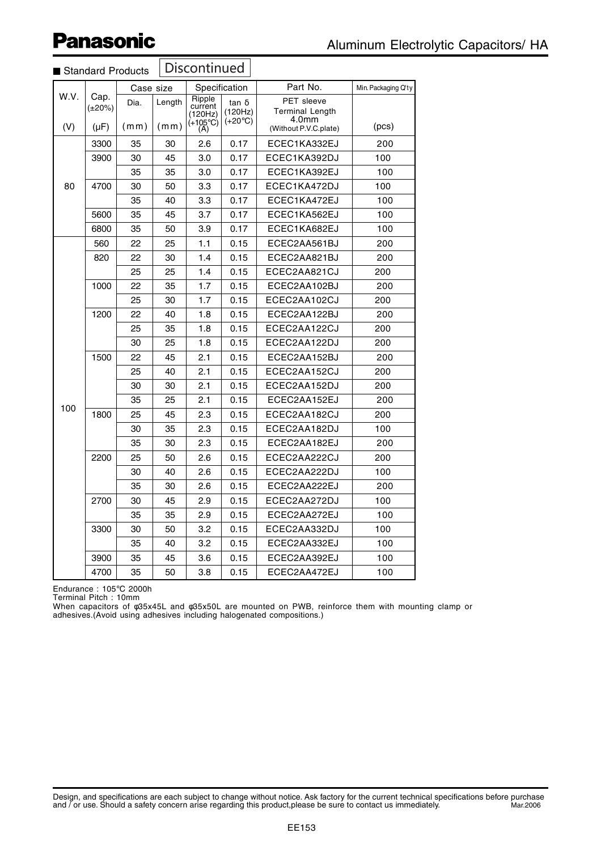|      |              |           |        |                         |                  | Part No.                       |                     |
|------|--------------|-----------|--------|-------------------------|------------------|--------------------------------|---------------------|
| W.V. | Cap.         | Case size |        | Specification<br>Ripple |                  | PET sleeve                     | Min. Packaging Q'ty |
|      | $(\pm 20\%)$ | Dia.      | Length | current<br>(120Hz)      | tan δ<br>(120Hz) | <b>Terminal Length</b>         |                     |
| (V)  | $(\mu F)$    | (mm)      | (mm)   | (+105°C)<br>(A)         | $(+20°C)$        | 4.0mm<br>(Without P.V.C.plate) | (pcs)               |
|      | 3300         | 35        | 30     | 2.6                     | 0.17             | ECEC1KA332EJ                   | 200                 |
|      | 3900         | 30        | 45     | 3.0                     | 0.17             | ECEC1KA392DJ                   | 100                 |
|      |              | 35        | 35     | 3.0                     | 0.17             | ECEC1KA392EJ                   | 100                 |
| 80   | 4700         | 30        | 50     | 3.3                     | 0.17             | ECEC1KA472DJ                   | 100                 |
|      |              | 35        | 40     | 3.3                     | 0.17             | ECEC1KA472EJ                   | 100                 |
|      | 5600         | 35        | 45     | 3.7                     | 0.17             | ECEC1KA562EJ                   | 100                 |
|      | 6800         | 35        | 50     | 3.9                     | 0.17             | ECEC1KA682EJ                   | 100                 |
|      | 560          | 22        | 25     | 1.1                     | 0.15             | ECEC2AA561BJ                   | 200                 |
|      | 820          | 22        | 30     | 1.4                     | 0.15             | ECEC2AA821BJ                   | 200                 |
|      |              | 25        | 25     | 1.4                     | 0.15             | ECEC2AA821CJ                   | 200                 |
|      | 1000         | 22        | 35     | 1.7                     | 0.15             | ECEC2AA102BJ                   | 200                 |
|      |              | 25        | 30     | 1.7                     | 0.15             | ECEC2AA102CJ                   | 200                 |
|      | 1200         | 22        | 40     | 1.8                     | 0.15             | ECEC2AA122BJ                   | 200                 |
|      |              | 25        | 35     | 1.8                     | 0.15             | ECEC2AA122CJ                   | 200                 |
|      |              | 30        | 25     | 1.8                     | 0.15             | ECEC2AA122DJ                   | 200                 |
|      | 1500         | 22        | 45     | 2.1                     | 0.15             | ECEC2AA152BJ                   | 200                 |
|      |              | 25        | 40     | 2.1                     | 0.15             | ECEC2AA152CJ                   | 200                 |
|      |              | 30        | 30     | 2.1                     | 0.15             | ECEC2AA152DJ                   | 200                 |
|      |              | 35        | 25     | 2.1                     | 0.15             | ECEC2AA152EJ                   | 200                 |
| 100  | 1800         | 25        | 45     | 2.3                     | 0.15             | ECEC2AA182CJ                   | 200                 |
|      |              | 30        | 35     | 2.3                     | 0.15             | ECEC2AA182DJ                   | 100                 |
|      |              | 35        | 30     | 2.3                     | 0.15             | ECEC2AA182EJ                   | 200                 |
|      | 2200         | 25        | 50     | 2.6                     | 0.15             | ECEC2AA222CJ                   | 200                 |
|      |              | 30        | 40     | 2.6                     | 0.15             | ECEC2AA222DJ                   | 100                 |
|      |              | 35        | 30     | 2.6                     | 0.15             | ECEC2AA222EJ                   | 200                 |
|      | 2700         | 30        | 45     | 2.9                     | 0.15             | ECEC2AA272DJ                   | 100                 |
|      |              | 35        | 35     | 2.9                     | 0.15             | ECEC2AA272EJ                   | 100                 |
|      | 3300         | 30        | 50     | 3.2                     | 0.15             | ECEC2AA332DJ                   | 100                 |
|      |              | 35        | 40     | 3.2                     | 0.15             | ECEC2AA332EJ                   | 100                 |
|      | 3900         | 35        | 45     | 3.6                     | 0.15             | ECEC2AA392EJ                   | 100                 |
|      | 4700         | 35        | 50     | 3.8                     | 0.15             | ECEC2AA472EJ                   | 100                 |

#### Discontinued ■ Standard Products

Endurance : 105°C 2000h

Terminal Pitch : 10mm

When capacitors of φ35x45L and φ35x50L are mounted on PWB, reinforce them with mounting clamp or adhesives.(Avoid using adhesives including halogenated compositions.)